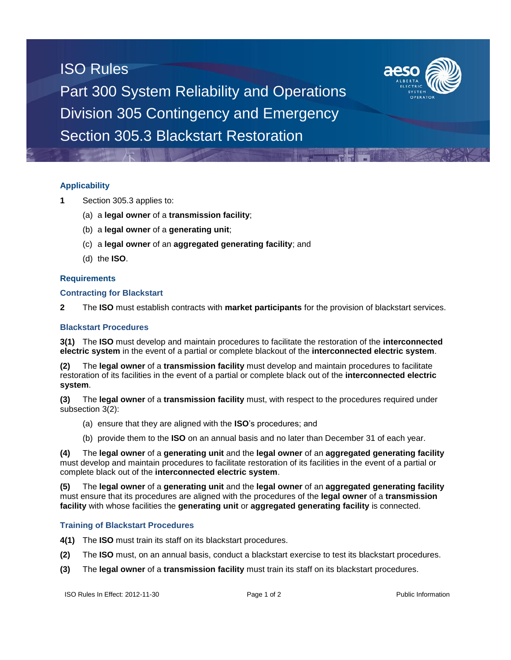## ISO Rules



Part 300 System Reliability and Operations Division 305 Contingency and Emergency Section 305.3 Blackstart Restoration

### **Applicability**

- **1** Section 305.3 applies to:
	- (a) a **legal owner** of a **transmission facility**;
	- (b) a **legal owner** of a **generating unit**;
	- (c) a **legal owner** of an **aggregated generating facility**; and
	- (d) the **ISO**.

#### **Requirements**

#### **Contracting for Blackstart**

**2** The **ISO** must establish contracts with **market participants** for the provision of blackstart services.

#### **Blackstart Procedures**

**3(1)** The **ISO** must develop and maintain procedures to facilitate the restoration of the **interconnected electric system** in the event of a partial or complete blackout of the **interconnected electric system**.

**(2)** The **legal owner** of a **transmission facility** must develop and maintain procedures to facilitate restoration of its facilities in the event of a partial or complete black out of the **interconnected electric system**.

**(3)** The **legal owner** of a **transmission facility** must, with respect to the procedures required under subsection 3(2):

- (a) ensure that they are aligned with the **ISO**'s procedures; and
- (b) provide them to the **ISO** on an annual basis and no later than December 31 of each year.

**(4)** The **legal owner** of a **generating unit** and the **legal owner** of an **aggregated generating facility** must develop and maintain procedures to facilitate restoration of its facilities in the event of a partial or complete black out of the **interconnected electric system**.

**(5)** The **legal owner** of a **generating unit** and the **legal owner** of an **aggregated generating facility** must ensure that its procedures are aligned with the procedures of the **legal owner** of a **transmission facility** with whose facilities the **generating unit** or **aggregated generating facility** is connected.

#### **Training of Blackstart Procedures**

**4(1)** The **ISO** must train its staff on its blackstart procedures.

- **(2)** The **ISO** must, on an annual basis, conduct a blackstart exercise to test its blackstart procedures.
- **(3)** The **legal owner** of a **transmission facility** must train its staff on its blackstart procedures.